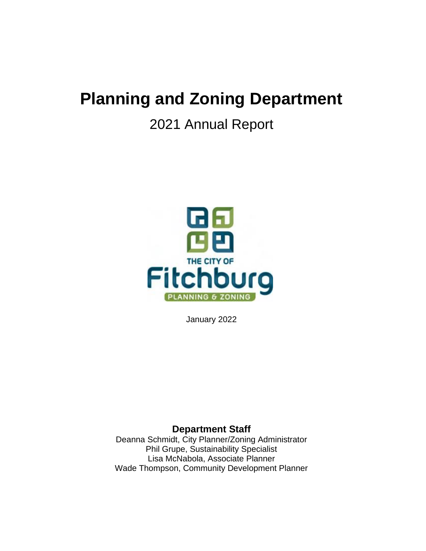# **Planning and Zoning Department**

## 2021 Annual Report



January 2022

## **Department Staff**

Deanna Schmidt, City Planner/Zoning Administrator Phil Grupe, Sustainability Specialist Lisa McNabola, Associate Planner Wade Thompson, Community Development Planner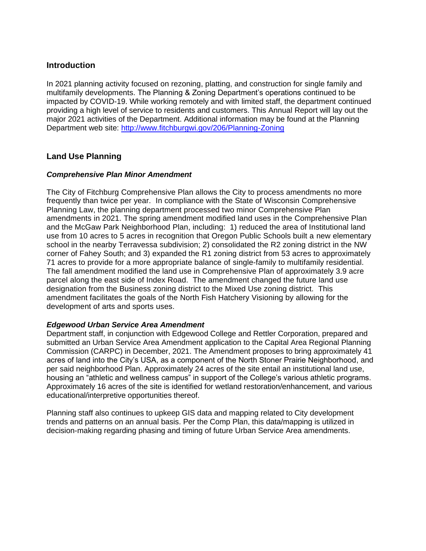### **Introduction**

In 2021 planning activity focused on rezoning, platting, and construction for single family and multifamily developments. The Planning & Zoning Department's operations continued to be impacted by COVID-19. While working remotely and with limited staff, the department continued providing a high level of service to residents and customers. This Annual Report will lay out the major 2021 activities of the Department. Additional information may be found at the Planning Department web site: http://www.fitchburgwi.gov/206/Planning-Zoning

## **Land Use Planning**

#### *Comprehensive Plan Minor Amendment*

The City of Fitchburg Comprehensive Plan allows the City to process amendments no more frequently than twice per year. In compliance with the State of Wisconsin Comprehensive Planning Law, the planning department processed two minor Comprehensive Plan amendments in 2021. The spring amendment modified land uses in the Comprehensive Plan and the McGaw Park Neighborhood Plan, including: 1) reduced the area of Institutional land use from 10 acres to 5 acres in recognition that Oregon Public Schools built a new elementary school in the nearby Terravessa subdivision; 2) consolidated the R2 zoning district in the NW corner of Fahey South; and 3) expanded the R1 zoning district from 53 acres to approximately 71 acres to provide for a more appropriate balance of single-family to multifamily residential. The fall amendment modified the land use in Comprehensive Plan of approximately 3.9 acre parcel along the east side of Index Road. The amendment changed the future land use designation from the Business zoning district to the Mixed Use zoning district. This amendment facilitates the goals of the North Fish Hatchery Visioning by allowing for the development of arts and sports uses.

#### *Edgewood Urban Service Area Amendment*

Department staff, in conjunction with Edgewood College and Rettler Corporation, prepared and submitted an Urban Service Area Amendment application to the Capital Area Regional Planning Commission (CARPC) in December, 2021. The Amendment proposes to bring approximately 41 acres of land into the City's USA, as a component of the North Stoner Prairie Neighborhood, and per said neighborhood Plan. Approximately 24 acres of the site entail an institutional land use, housing an "athletic and wellness campus" in support of the College's various athletic programs. Approximately 16 acres of the site is identified for wetland restoration/enhancement, and various educational/interpretive opportunities thereof.

Planning staff also continues to upkeep GIS data and mapping related to City development trends and patterns on an annual basis. Per the Comp Plan, this data/mapping is utilized in decision-making regarding phasing and timing of future Urban Service Area amendments.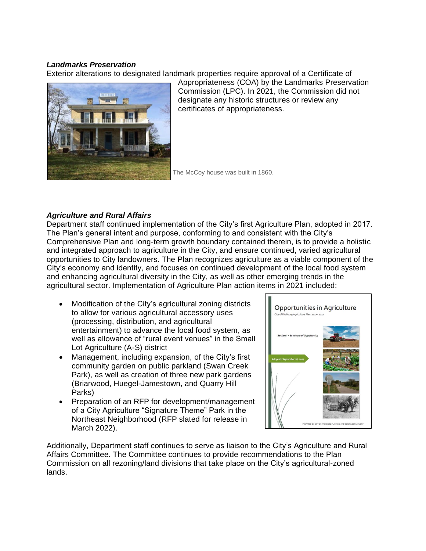#### *Landmarks Preservation*

Exterior alterations to designated landmark properties require approval of a Certificate of



Appropriateness (COA) by the Landmarks Preservation Commission (LPC). In 2021, the Commission did not designate any historic structures or review any certificates of appropriateness.

The McCoy house was built in 1860.

## *Agriculture and Rural Affairs*

Department staff continued implementation of the City's first Agriculture Plan, adopted in 2017. The Plan's general intent and purpose, conforming to and consistent with the City's Comprehensive Plan and long-term growth boundary contained therein, is to provide a holistic and integrated approach to agriculture in the City, and ensure continued, varied agricultural opportunities to City landowners. The Plan recognizes agriculture as a viable component of the City's economy and identity, and focuses on continued development of the local food system and enhancing agricultural diversity in the City, as well as other emerging trends in the agricultural sector. Implementation of Agriculture Plan action items in 2021 included:

- Modification of the City's agricultural zoning districts to allow for various agricultural accessory uses (processing, distribution, and agricultural entertainment) to advance the local food system, as well as allowance of "rural event venues" in the Small Lot Agriculture (A-S) district
- Management, including expansion, of the City's first community garden on public parkland (Swan Creek Park), as well as creation of three new park gardens (Briarwood, Huegel-Jamestown, and Quarry Hill Parks)
- Preparation of an RFP for development/management of a City Agriculture "Signature Theme" Park in the Northeast Neighborhood (RFP slated for release in March 2022).



Additionally, Department staff continues to serve as liaison to the City's Agriculture and Rural Affairs Committee. The Committee continues to provide recommendations to the Plan Commission on all rezoning/land divisions that take place on the City's agricultural-zoned lands.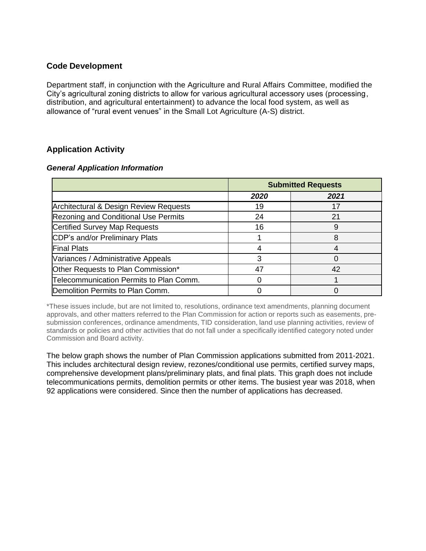## **Code Development**

Department staff, in conjunction with the Agriculture and Rural Affairs Committee, modified the City's agricultural zoning districts to allow for various agricultural accessory uses (processing, distribution, and agricultural entertainment) to advance the local food system, as well as allowance of "rural event venues" in the Small Lot Agriculture (A-S) district.

## **Application Activity**

#### *General Application Information*

|                                             | <b>Submitted Requests</b> |      |
|---------------------------------------------|---------------------------|------|
|                                             | 2020                      | 2021 |
| Architectural & Design Review Requests      | 19                        | 17   |
| <b>Rezoning and Conditional Use Permits</b> | 24                        | 21   |
| <b>Certified Survey Map Requests</b>        | 16                        | 9    |
| CDP's and/or Preliminary Plats              |                           | 8    |
| <b>Final Plats</b>                          |                           |      |
| Variances / Administrative Appeals          |                           |      |
| Other Requests to Plan Commission*          | 47                        | 42   |
| Telecommunication Permits to Plan Comm.     |                           |      |
| Demolition Permits to Plan Comm.            |                           |      |

\*These issues include, but are not limited to, resolutions, ordinance text amendments, planning document approvals, and other matters referred to the Plan Commission for action or reports such as easements, presubmission conferences, ordinance amendments, TID consideration, land use planning activities, review of standards or policies and other activities that do not fall under a specifically identified category noted under Commission and Board activity.

The below graph shows the number of Plan Commission applications submitted from 2011-2021. This includes architectural design review, rezones/conditional use permits, certified survey maps, comprehensive development plans/preliminary plats, and final plats. This graph does not include telecommunications permits, demolition permits or other items. The busiest year was 2018, when 92 applications were considered. Since then the number of applications has decreased.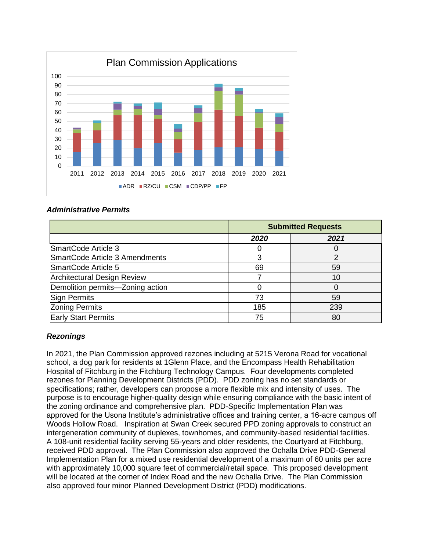

#### *Administrative Permits*

|                                    |      | <b>Submitted Requests</b> |  |
|------------------------------------|------|---------------------------|--|
|                                    | 2020 | 2021                      |  |
| SmartCode Article 3                |      |                           |  |
| SmartCode Article 3 Amendments     | 3    | っ                         |  |
| SmartCode Article 5                | 69   | 59                        |  |
| <b>Architectural Design Review</b> |      | 10                        |  |
| Demolition permits-Zoning action   |      |                           |  |
| <b>Sign Permits</b>                | 73   | 59                        |  |
| <b>Zoning Permits</b>              | 185  | 239                       |  |
| <b>Early Start Permits</b>         | 75   | 80                        |  |

#### *Rezonings*

In 2021, the Plan Commission approved rezones including at 5215 Verona Road for vocational school, a dog park for residents at 1Glenn Place, and the Encompass Health Rehabilitation Hospital of Fitchburg in the Fitchburg Technology Campus. Four developments completed rezones for Planning Development Districts (PDD). PDD zoning has no set standards or specifications; rather, developers can propose a more flexible mix and intensity of uses. The purpose is to encourage higher-quality design while ensuring compliance with the basic intent of the zoning ordinance and comprehensive plan. PDD-Specific Implementation Plan was approved for the Usona Institute's administrative offices and training center, a 16-acre campus off Woods Hollow Road. Inspiration at Swan Creek secured PPD zoning approvals to construct an intergeneration community of duplexes, townhomes, and community-based residential facilities. A 108-unit residential facility serving 55-years and older residents, the Courtyard at Fitchburg, received PDD approval. The Plan Commission also approved the Ochalla Drive PDD-General Implementation Plan for a mixed use residential development of a maximum of 60 units per acre with approximately 10,000 square feet of commercial/retail space. This proposed development will be located at the corner of Index Road and the new Ochalla Drive. The Plan Commission also approved four minor Planned Development District (PDD) modifications.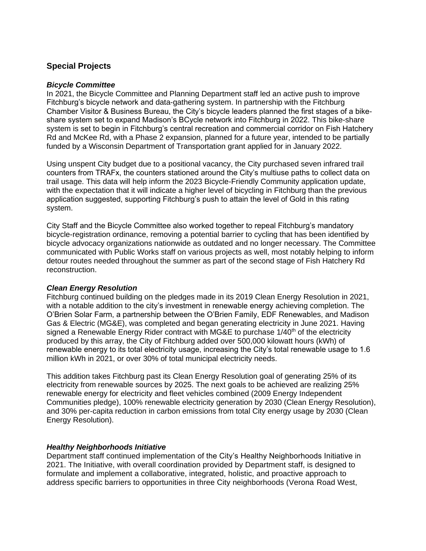## **Special Projects**

#### *Bicycle Committee*

In 2021, the Bicycle Committee and Planning Department staff led an active push to improve Fitchburg's bicycle network and data-gathering system. In partnership with the Fitchburg Chamber Visitor & Business Bureau, the City's bicycle leaders planned the first stages of a bikeshare system set to expand Madison's BCycle network into Fitchburg in 2022. This bike-share system is set to begin in Fitchburg's central recreation and commercial corridor on Fish Hatchery Rd and McKee Rd, with a Phase 2 expansion, planned for a future year, intended to be partially funded by a Wisconsin Department of Transportation grant applied for in January 2022.

Using unspent City budget due to a positional vacancy, the City purchased seven infrared trail counters from TRAFx, the counters stationed around the City's multiuse paths to collect data on trail usage. This data will help inform the 2023 Bicycle-Friendly Community application update, with the expectation that it will indicate a higher level of bicycling in Fitchburg than the previous application suggested, supporting Fitchburg's push to attain the level of Gold in this rating system.

City Staff and the Bicycle Committee also worked together to repeal Fitchburg's mandatory bicycle-registration ordinance, removing a potential barrier to cycling that has been identified by bicycle advocacy organizations nationwide as outdated and no longer necessary. The Committee communicated with Public Works staff on various projects as well, most notably helping to inform detour routes needed throughout the summer as part of the second stage of Fish Hatchery Rd reconstruction.

#### *Clean Energy Resolution*

Fitchburg continued building on the pledges made in its 2019 Clean Energy Resolution in 2021, with a notable addition to the city's investment in renewable energy achieving completion. The O'Brien Solar Farm, a partnership between the O'Brien Family, EDF Renewables, and Madison Gas & Electric (MG&E), was completed and began generating electricity in June 2021. Having signed a Renewable Energy Rider contract with MG&E to purchase 1/40<sup>th</sup> of the electricity produced by this array, the City of Fitchburg added over 500,000 kilowatt hours (kWh) of renewable energy to its total electricity usage, increasing the City's total renewable usage to 1.6 million kWh in 2021, or over 30% of total municipal electricity needs.

This addition takes Fitchburg past its Clean Energy Resolution goal of generating 25% of its electricity from renewable sources by 2025. The next goals to be achieved are realizing 25% renewable energy for electricity and fleet vehicles combined (2009 Energy Independent Communities pledge), 100% renewable electricity generation by 2030 (Clean Energy Resolution), and 30% per-capita reduction in carbon emissions from total City energy usage by 2030 (Clean Energy Resolution).

#### *Healthy Neighborhoods Initiative*

Department staff continued implementation of the City's Healthy Neighborhoods Initiative in 2021. The Initiative, with overall coordination provided by Department staff, is designed to formulate and implement a collaborative, integrated, holistic, and proactive approach to address specific barriers to opportunities in three City neighborhoods (Verona Road West,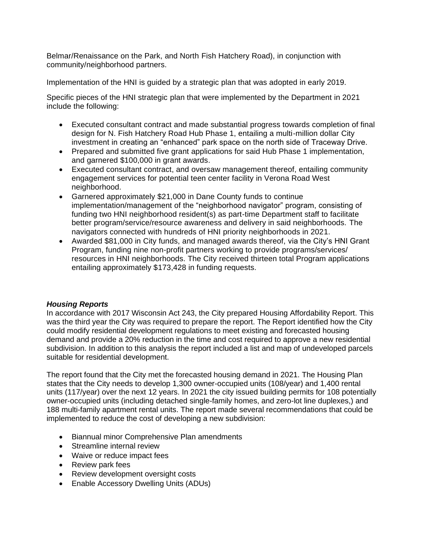Belmar/Renaissance on the Park, and North Fish Hatchery Road), in conjunction with community/neighborhood partners.

Implementation of the HNI is guided by a strategic plan that was adopted in early 2019.

Specific pieces of the HNI strategic plan that were implemented by the Department in 2021 include the following:

- Executed consultant contract and made substantial progress towards completion of final design for N. Fish Hatchery Road Hub Phase 1, entailing a multi-million dollar City investment in creating an "enhanced" park space on the north side of Traceway Drive.
- Prepared and submitted five grant applications for said Hub Phase 1 implementation, and garnered \$100,000 in grant awards.
- Executed consultant contract, and oversaw management thereof, entailing community engagement services for potential teen center facility in Verona Road West neighborhood.
- Garnered approximately \$21,000 in Dane County funds to continue implementation/management of the "neighborhood navigator" program, consisting of funding two HNI neighborhood resident(s) as part-time Department staff to facilitate better program/service/resource awareness and delivery in said neighborhoods. The navigators connected with hundreds of HNI priority neighborhoods in 2021.
- Awarded \$81,000 in City funds, and managed awards thereof, via the City's HNI Grant Program, funding nine non-profit partners working to provide programs/services/ resources in HNI neighborhoods. The City received thirteen total Program applications entailing approximately \$173,428 in funding requests.

#### *Housing Reports*

In accordance with 2017 Wisconsin Act 243, the City prepared Housing Affordability Report. This was the third year the City was required to prepare the report. The Report identified how the City could modify residential development regulations to meet existing and forecasted housing demand and provide a 20% reduction in the time and cost required to approve a new residential subdivision. In addition to this analysis the report included a list and map of undeveloped parcels suitable for residential development.

The report found that the City met the forecasted housing demand in 2021. The Housing Plan states that the City needs to develop 1,300 owner-occupied units (108/year) and 1,400 rental units (117/year) over the next 12 years. In 2021 the city issued building permits for 108 potentially owner-occupied units (including detached single-family homes, and zero-lot line duplexes,) and 188 multi-family apartment rental units. The report made several recommendations that could be implemented to reduce the cost of developing a new subdivision:

- Biannual minor Comprehensive Plan amendments
- Streamline internal review
- Waive or reduce impact fees
- Review park fees
- Review development oversight costs
- Enable Accessory Dwelling Units (ADUs)